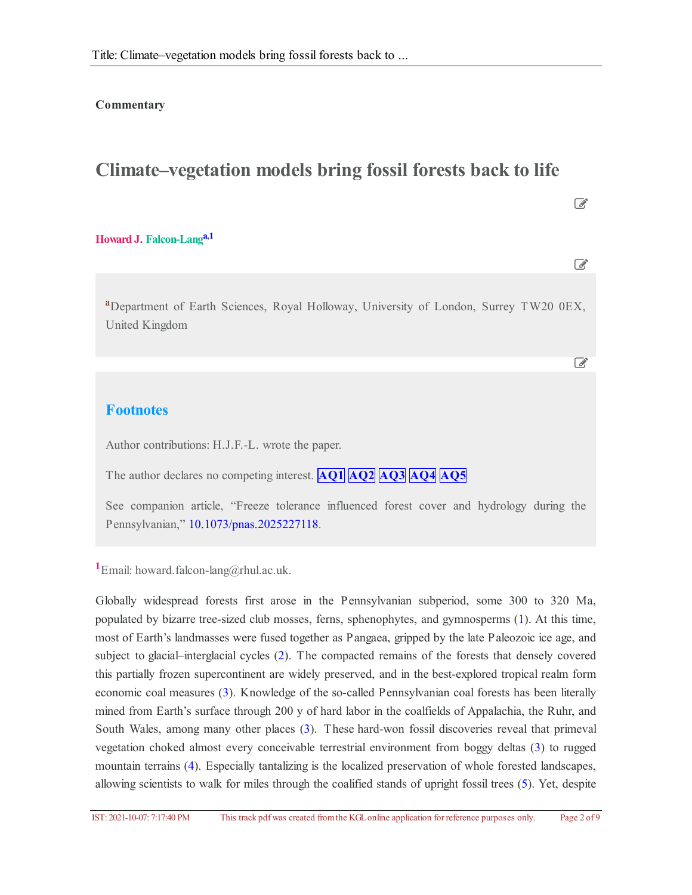#### **Commentary**

# **Climate–vegetation models bring fossil forests back to life**

### **Howard J. Falcon-Lang a[,1](#page-1-0)**

<sup>a</sup>Department of Earth Sciences, Royal Holloway, University of London, Surrey TW20 0EX, United Kingdom

 $\mathbb{Z}$ 

 $\overrightarrow{a}$ 

 $\mathbb{Z}$ 

## **Footnotes**

Author contributions: H.J.F.-L. wrote the paper.

The author declares no competing interest. **AQ1 AQ2 AQ3 AQ4 AQ5**

See companion article, "Freeze tolerance influenced forest cover and hydrology during the Pennsylvanian," [10.1073/pnas.2025227118](https://doi.org/10.1073/pnas.2025227118).

**<sup>1</sup>**Email: howard.falcon-lang@rhul.ac.uk.

Globally widespread forests first arose in the Pennsylvanian subperiod, some 300 to 320 Ma, populated by bizarre tree-sized club mosses, ferns, sphenophytes, and gymnosperms [\(1](#page-5-0)). At this time, most of Earth's landmasses were fused together as Pangaea, gripped by the late Paleozoic ice age, and subject to glacial–interglacial cycles [\(2](#page-5-1)). The compacted remains of the forests that densely covered this partially frozen supercontinent are widely preserved, and in the best-explored tropical realm form economic coal measures [\(3](#page-5-2)). Knowledge of the so-called Pennsylvanian coal forests has been literally mined from Earth's surface through 200 y of hard labor in the coalfields of Appalachia, the Ruhr, and South Wales, among many other places [\(3](#page-5-2)). These hard-won fossil discoveries reveal that primeval vegetation choked almost every conceivable terrestrial environment from boggy deltas [\(3](#page-5-2)) to rugged mountain terrains [\(4\)](#page-5-3). Especially tantalizing is the localized preservation of whole forested landscapes, allowing scientists to walk for miles through the coalified stands of upright fossil trees [\(5](#page-5-4)). Yet, despite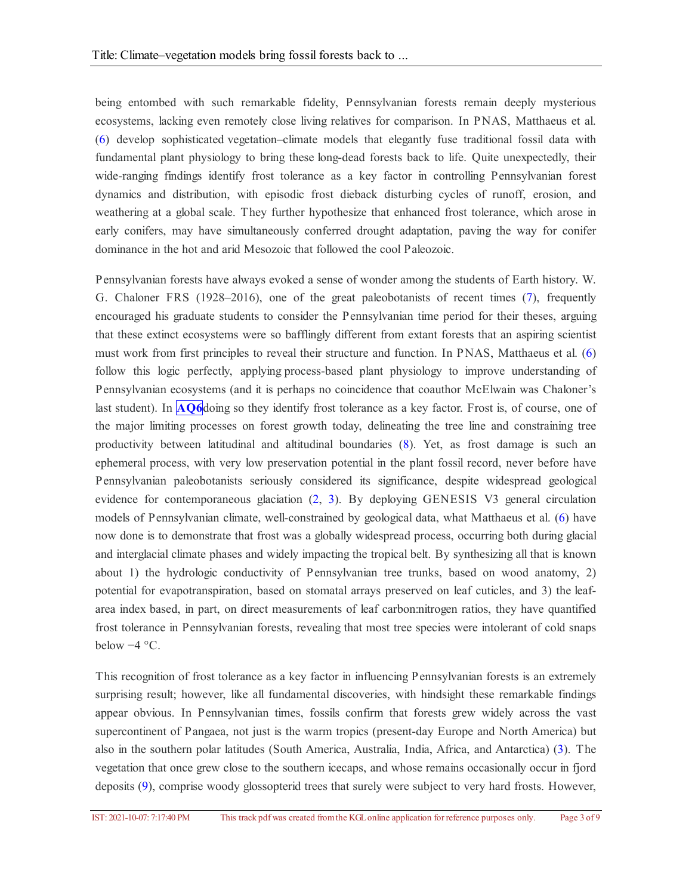being entombed with such remarkable fidelity, Pennsylvanian forests remain deeply mysterious ecosystems, lacking even remotely close living relatives for comparison. In PNAS, Matthaeus et al. ([6](#page-6-0)) develop sophisticated vegetation–climate models that elegantly fuse traditional fossil data with fundamental plant physiology to bring these long-dead forests back to life. Quite unexpectedly, their wide-ranging findings identify frost tolerance as a key factor in controlling Pennsylvanian forest dynamics and distribution, with episodic frost dieback disturbing cycles of runoff, erosion, and weathering at a global scale. They further hypothesize that enhanced frost tolerance, which arose in early conifers, may have simultaneously conferred drought adaptation, paving the way for conifer dominance in the hot and arid Mesozoic that followed the cool Paleozoic.

Pennsylvanian forests have always evoked a sense of wonder among the students of Earth history. W. G. Chaloner FRS (1928–2016), one of the great paleobotanists of recent times ([7](#page-6-1)), frequently encouraged his graduate students to consider the Pennsylvanian time period for their theses, arguing that these extinct ecosystems were so bafflingly different from extant forests that an aspiring scientist must work from first principles to reveal their structure and function. In PNAS, Matthaeus et al. [\(6](#page-6-0)) follow this logic perfectly, applying process-based plant physiology to improve understanding of Pennsylvanian ecosystems (and it is perhaps no coincidence that coauthor McElwain was Chaloner's last student). In **[AQ6](#page-7-0)** doing so they identify frost tolerance as a key factor. Frost is, of course, one of the major limiting processes on forest growth today, delineating the tree line and constraining tree productivity between latitudinal and altitudinal boundaries [\(8](#page-6-2)). Yet, as frost damage is such an ephemeral process, with very low preservation potential in the plant fossil record, never before have Pennsylvanian paleobotanists seriously considered its significance, despite widespread geological evidence for contemporaneous glaciation ([2](#page-5-1), [3](#page-5-2)). By deploying GENESIS V3 general circulation models of Pennsylvanian climate, well-constrained by geological data, what Matthaeus et al. [\(6](#page-6-0)) have now done is to demonstrate that frost was a globally widespread process, occurring both during glacial and interglacial climate phases and widely impacting the tropical belt. By synthesizing all that is known about 1) the hydrologic conductivity of Pennsylvanian tree trunks, based on wood anatomy, 2) potential for evapotranspiration, based on stomatal arrays preserved on leaf cuticles, and 3) the leafarea index based, in part, on direct measurements of leaf carbon:nitrogen ratios, they have quantified frost tolerance in Pennsylvanian forests, revealing that most tree species were intolerant of cold snaps below −4 °C.

<span id="page-1-5"></span><span id="page-1-4"></span><span id="page-1-3"></span><span id="page-1-2"></span><span id="page-1-1"></span><span id="page-1-0"></span>This recognition of frost tolerance as a key factor in influencing Pennsylvanian forests is an extremely surprising result; however, like all fundamental discoveries, with hindsight these remarkable findings appear obvious. In Pennsylvanian times, fossils confirm that forests grew widely across the vast supercontinent of Pangaea, not just is the warm tropics (present-day Europe and North America) but also in the southern polar latitudes (South America, Australia, India, Africa, and Antarctica) ([3\)](#page-5-2). The vegetation that once grew close to the southern icecaps, and whose remains occasionally occur in fjord deposits [\(9](#page-6-3)), comprise woody glossopterid trees that surely were subject to very hard frosts. However,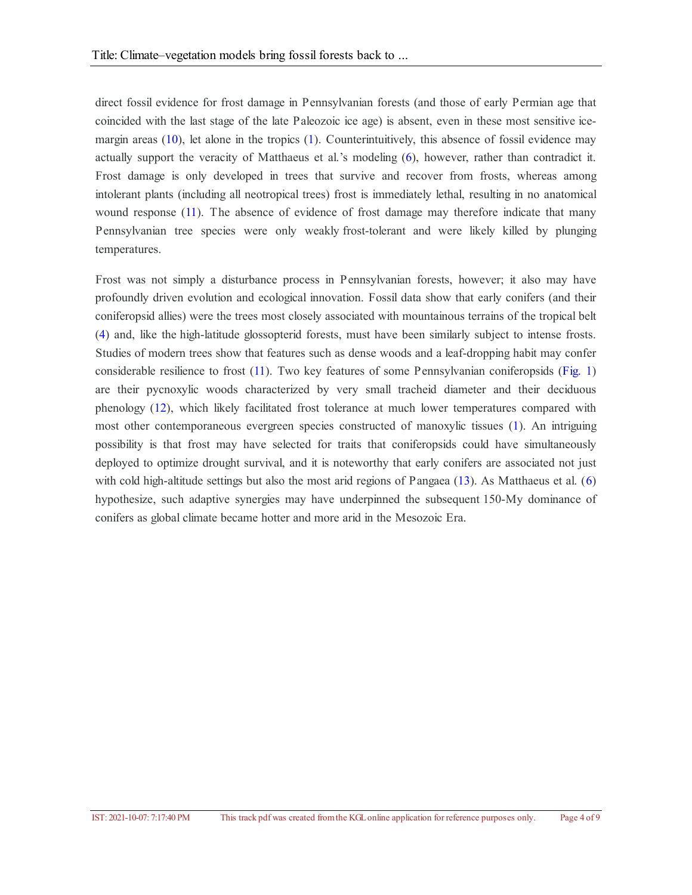<span id="page-2-0"></span>direct fossil evidence for frost damage in Pennsylvanian forests (and those of early Permian age that coincided with the last stage of the late Paleozoic ice age) is absent, even in these most sensitive icemargin areas [\(10](#page-6-4)), let alone in the tropics [\(1](#page-5-0)). Counterintuitively, this absence of fossil evidence may actually support the veracity of Matthaeus et al.'s modeling [\(6](#page-6-0)), however, rather than contradict it. Frost damage is only developed in trees that survive and recover from frosts, whereas among intolerant plants (including all neotropical trees) frost is immediately lethal, resulting in no anatomical wound response [\(11](#page-6-5)). The absence of evidence of frost damage may therefore indicate that many Pennsylvanian tree species were only weakly frost-tolerant and were likely killed by plunging temperatures.

<span id="page-2-3"></span><span id="page-2-2"></span><span id="page-2-1"></span>Frost was not simply a disturbance process in Pennsylvanian forests, however; it also may have profoundly driven evolution and ecological innovation. Fossil data show that early conifers (and their coniferopsid allies) were the trees most closely associated with mountainous terrains of the tropical belt ([4](#page-5-3)) and, like the high-latitude glossopterid forests, must have been similarly subject to intense frosts. Studies of modern trees show that features such as dense woods and a leaf-dropping habit may confer considerable resilience to frost [\(11](#page-6-5)). Two key features of some Pennsylvanian coniferopsids [\(Fig.](#page-4-0) 1) are their pycnoxylic woods characterized by very small tracheid diameter and their deciduous phenology [\(12](#page-6-6)), which likely facilitated frost tolerance at much lower temperatures compared with most other contemporaneous evergreen species constructed of manoxylic tissues ([1](#page-5-0)). An intriguing possibility is that frost may have selected for traits that coniferopsids could have simultaneously deployed to optimize drought survival, and it is noteworthy that early conifers are associated not just with cold high-altitude settings but also the most arid regions of Pangaea [\(13](#page-6-7)). As Matthaeus et al. [\(6](#page-6-0)) hypothesize, such adaptive synergies may have underpinned the subsequent 150-My dominance of conifers as global climate became hotter and more arid in the Mesozoic Era.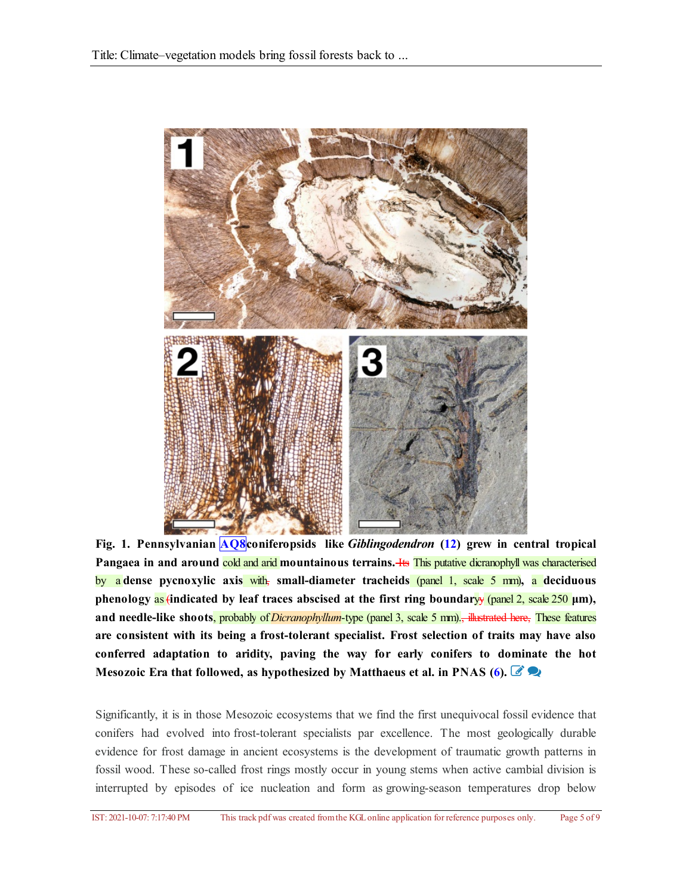<span id="page-3-2"></span><span id="page-3-1"></span><span id="page-3-0"></span>

**Fig. 1. Pennsylvanian [AQ8](#page-8-0)coniferopsids like** *Giblingodendron* **[\(12](#page-6-6)) grew in central tropical Pangaea in and around** cold and arid **mountainous terrains.** Its This putative dicranophyll was characterised by a **dense pycnoxylic axis** with, **small-diameter tracheids** (panel 1, scale 5 mm)**,** a **deciduous phenology** as (**indicated by leaf traces abscised at the first ring boundar**yy (panel 2, scale 250 **μm), and needle-like shoots**, probably of*Dicranophyllum*-type (panel 3, scale 5 mm)., illustrated here, These features **are consistent with its being a frost-tolerant specialist. Frost selection of traits may have also conferred adaptation to aridity, paving the way for early conifers to dominate the hot Mesozoic Era that followed, as hypothesized by Matthaeus et al. in PNAS [\(6](#page-6-0)).**

<span id="page-3-3"></span>Significantly, it is in those Mesozoic ecosystems that we find the first unequivocal fossil evidence that conifers had evolved into frost-tolerant specialists par excellence. The most geologically durable evidence for frost damage in ancient ecosystems is the development of traumatic growth patterns in fossil wood. These so-called frost rings mostly occur in young stems when active cambial division is interrupted by episodes of ice nucleation and form as growing-season temperatures drop below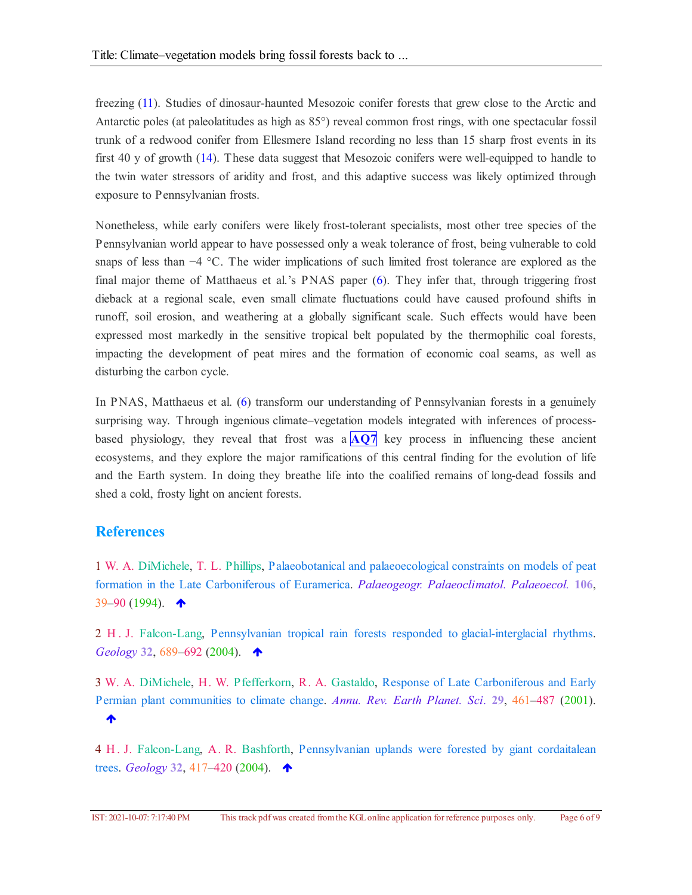<span id="page-4-0"></span>freezing [\(11](#page-6-5)). Studies of dinosaur-haunted Mesozoic conifer forests that grew close to the Arctic and Antarctic poles (at paleolatitudes as high as 85°) reveal common frost rings, with one spectacular fossil trunk of a redwood conifer from Ellesmere Island recording no less than 15 sharp frost events in its first 40 y of growth [\(14](#page-6-8)). These data suggest that Mesozoic conifers were well-equipped to handle to the twin water stressors of aridity and frost, and this adaptive success was likely optimized through exposure to Pennsylvanian frosts.

Nonetheless, while early conifers were likely frost-tolerant specialists, most other tree species of the Pennsylvanian world appear to have possessed only a weak tolerance of frost, being vulnerable to cold snaps of less than −4 °C. The wider implications of such limited frost tolerance are explored as the final major theme of Matthaeus et al.'s PNAS paper [\(6](#page-6-0)). They infer that, through triggering frost dieback at a regional scale, even small climate fluctuations could have caused profound shifts in runoff, soil erosion, and weathering at a globally significant scale. Such effects would have been expressed most markedly in the sensitive tropical belt populated by the thermophilic coal forests, impacting the development of peat mires and the formation of economic coal seams, as well as disturbing the carbon cycle.

In PNAS, Matthaeus et al. [\(6](#page-6-0)) transform our understanding of Pennsylvanian forests in a genuinely surprising way. Through ingenious climate–vegetation models integrated with inferences of processbased physiology, they reveal that frost was a  $\mathbf{A} \mathbf{Q}$ <sup> $\mathbf{Q}$ </sup> key process in influencing these ancient ecosystems, and they explore the major ramifications of this central finding for the evolution of life and the Earth system. In doing they breathe life into the coalified remains of long-dead fossils and shed a cold, frosty light on ancient forests.

#### **References**

1 W. A. DiMichele, T. L. Phillips, Palaeobotanical and palaeoecological constraints on models of peat formation in the Late Carboniferous of Euramerica. *Palaeogeogr. Palaeoclimatol. Palaeoecol.* **106**, 39–90 (1994).  $\spadesuit$ 

2 H . J. Falcon-Lang, Pennsylvanian tropical rain forests responded to glacial-interglacial rhythms. *Geology* **32**, 689–692 (2004).

3 W. A. DiMichele, H. W. Pfefferkorn, R. A. Gastaldo, Response of Late Carboniferous and Early Permian plant communities to climate change. *Annu. Rev. Earth Planet. Sci.* **29**, 461–487 (2001). ♠

4 H. J. Falcon-Lang, A. R. Bashforth, Pennsylvanian uplands were forested by giant cordaitalean trees. *Geology* **32**, 417–420 (2004).